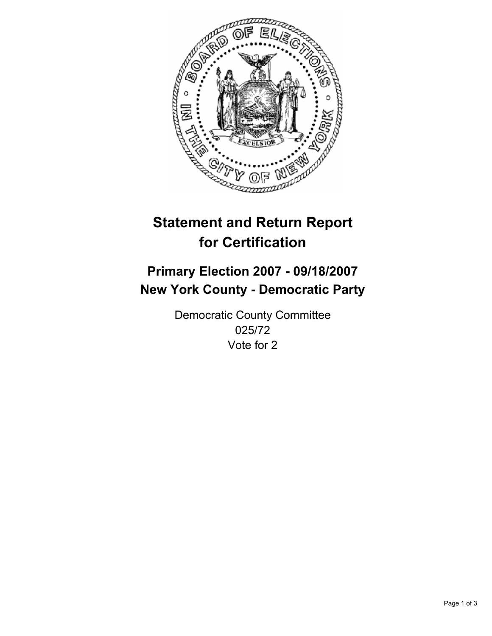

# **Statement and Return Report for Certification**

## **Primary Election 2007 - 09/18/2007 New York County - Democratic Party**

Democratic County Committee 025/72 Vote for 2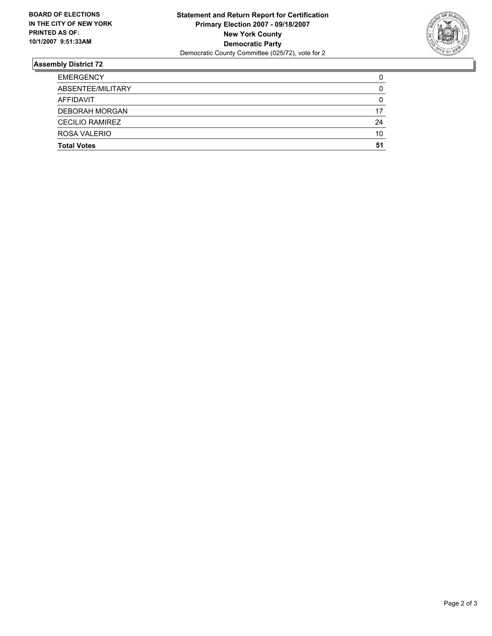

### **Assembly District 72**

| <b>EMERGENCY</b>       |    |
|------------------------|----|
| ABSENTEE/MILITARY      | U  |
| AFFIDAVIT              |    |
| <b>DEBORAH MORGAN</b>  | 17 |
| <b>CECILIO RAMIREZ</b> | 24 |
| ROSA VALERIO           | 10 |
| <b>Total Votes</b>     | 51 |